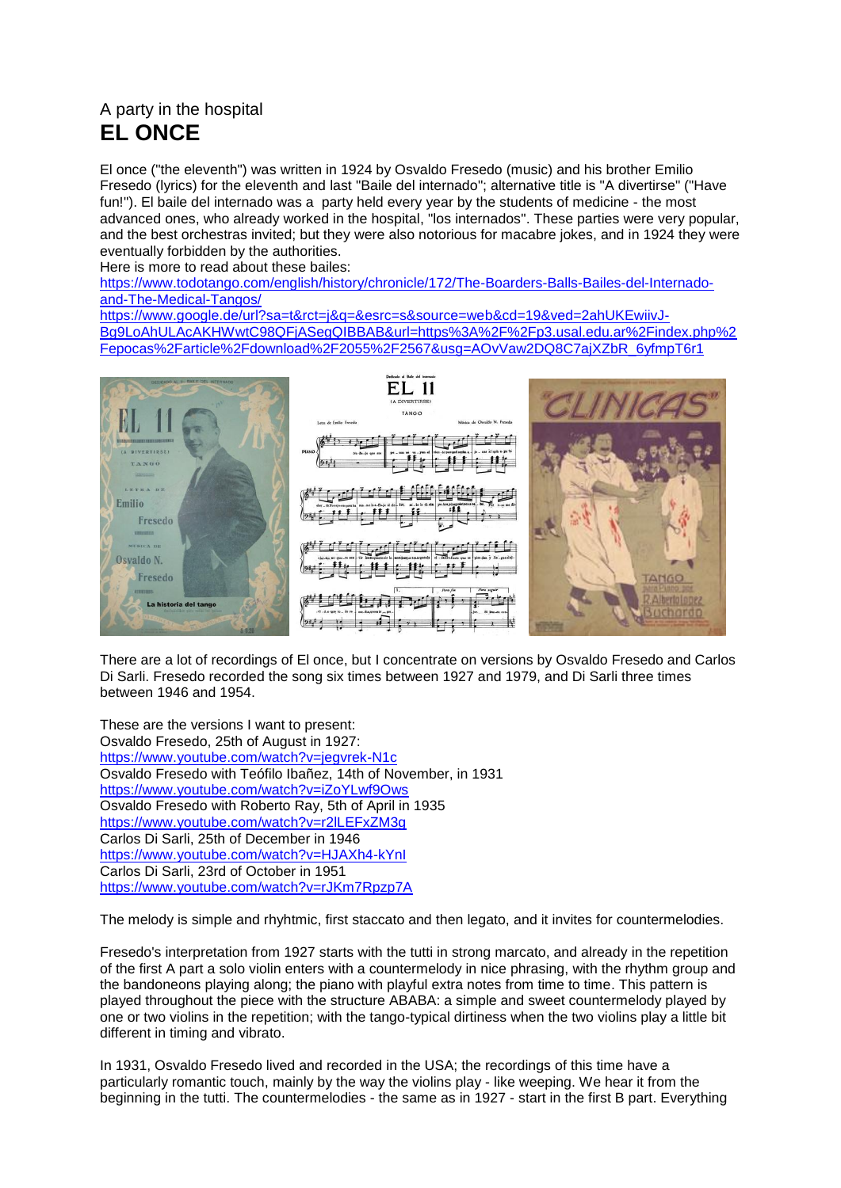## A party in the hospital **EL ONCE**

El once ("the eleventh") was written in 1924 by Osvaldo Fresedo (music) and his brother Emilio Fresedo (lyrics) for the eleventh and last "Baile del internado"; alternative title is "A divertirse" ("Have fun!"). El baile del internado was a party held every year by the students of medicine - the most advanced ones, who already worked in the hospital, "los internados". These parties were very popular, and the best orchestras invited; but they were also notorious for macabre jokes, and in 1924 they were eventually forbidden by the authorities.

Here is more to read about these bailes:

[https://www.todotango.com/english/history/chronicle/172/The-Boarders-Balls-Bailes-del-Internado](https://www.todotango.com/english/history/chronicle/172/The-Boarders-Balls-Bailes-del-Internado-and-The-Medical-Tangos/)[and-The-Medical-Tangos/](https://www.todotango.com/english/history/chronicle/172/The-Boarders-Balls-Bailes-del-Internado-and-The-Medical-Tangos/)

[https://www.google.de/url?sa=t&rct=j&q=&esrc=s&source=web&cd=19&ved=2ahUKEwiivJ-](https://www.google.de/url?sa=t&rct=j&q=&esrc=s&source=web&cd=19&ved=2ahUKEwiivJ-Bg9LoAhULAcAKHWwtC98QFjASegQIBBAB&url=https%3A%2F%2Fp3.usal.edu.ar%2Findex.php%2Fepocas%2Farticle%2Fdownload%2F2055%2F2567&usg=AOvVaw2DQ8C7ajXZbR_6yfmpT6r1)[Bg9LoAhULAcAKHWwtC98QFjASegQIBBAB&url=https%3A%2F%2Fp3.usal.edu.ar%2Findex.php%2](https://www.google.de/url?sa=t&rct=j&q=&esrc=s&source=web&cd=19&ved=2ahUKEwiivJ-Bg9LoAhULAcAKHWwtC98QFjASegQIBBAB&url=https%3A%2F%2Fp3.usal.edu.ar%2Findex.php%2Fepocas%2Farticle%2Fdownload%2F2055%2F2567&usg=AOvVaw2DQ8C7ajXZbR_6yfmpT6r1) [Fepocas%2Farticle%2Fdownload%2F2055%2F2567&usg=AOvVaw2DQ8C7ajXZbR\\_6yfmpT6r1](https://www.google.de/url?sa=t&rct=j&q=&esrc=s&source=web&cd=19&ved=2ahUKEwiivJ-Bg9LoAhULAcAKHWwtC98QFjASegQIBBAB&url=https%3A%2F%2Fp3.usal.edu.ar%2Findex.php%2Fepocas%2Farticle%2Fdownload%2F2055%2F2567&usg=AOvVaw2DQ8C7ajXZbR_6yfmpT6r1)



There are a lot of recordings of El once, but I concentrate on versions by Osvaldo Fresedo and Carlos Di Sarli. Fresedo recorded the song six times between 1927 and 1979, and Di Sarli three times between 1946 and 1954.

These are the versions I want to present: Osvaldo Fresedo, 25th of August in 1927: <https://www.youtube.com/watch?v=jegvrek-N1c> Osvaldo Fresedo with Teófilo Ibañez, 14th of November, in 1931 <https://www.youtube.com/watch?v=iZoYLwf9Ows> Osvaldo Fresedo with Roberto Ray, 5th of April in 1935 <https://www.youtube.com/watch?v=r2lLEFxZM3g> Carlos Di Sarli, 25th of December in 1946 <https://www.youtube.com/watch?v=HJAXh4-kYnI> Carlos Di Sarli, 23rd of October in 1951 <https://www.youtube.com/watch?v=rJKm7Rpzp7A>

The melody is simple and rhyhtmic, first staccato and then legato, and it invites for countermelodies.

Fresedo's interpretation from 1927 starts with the tutti in strong marcato, and already in the repetition of the first A part a solo violin enters with a countermelody in nice phrasing, with the rhythm group and the bandoneons playing along; the piano with playful extra notes from time to time. This pattern is played throughout the piece with the structure ABABA: a simple and sweet countermelody played by one or two violins in the repetition; with the tango-typical dirtiness when the two violins play a little bit different in timing and vibrato.

In 1931, Osvaldo Fresedo lived and recorded in the USA; the recordings of this time have a particularly romantic touch, mainly by the way the violins play - like weeping. We hear it from the beginning in the tutti. The countermelodies - the same as in 1927 - start in the first B part. Everything